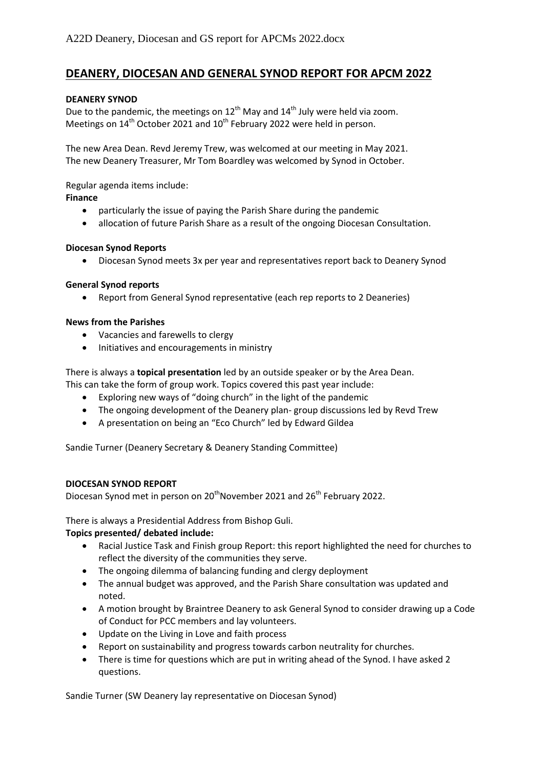# **DEANERY, DIOCESAN AND GENERAL SYNOD REPORT FOR APCM 2022**

# **DEANERY SYNOD**

Due to the pandemic, the meetings on  $12^{th}$  May and  $14^{th}$  July were held via zoom. Meetings on  $14<sup>th</sup>$  October 2021 and  $10<sup>th</sup>$  February 2022 were held in person.

The new Area Dean. Revd Jeremy Trew, was welcomed at our meeting in May 2021. The new Deanery Treasurer, Mr Tom Boardley was welcomed by Synod in October.

Regular agenda items include:

# **Finance**

- particularly the issue of paying the Parish Share during the pandemic
- allocation of future Parish Share as a result of the ongoing Diocesan Consultation.

# **Diocesan Synod Reports**

• Diocesan Synod meets 3x per year and representatives report back to Deanery Synod

# **General Synod reports**

• Report from General Synod representative (each rep reports to 2 Deaneries)

# **News from the Parishes**

- Vacancies and farewells to clergy
- Initiatives and encouragements in ministry

There is always a **topical presentation** led by an outside speaker or by the Area Dean.

This can take the form of group work. Topics covered this past year include:

- Exploring new ways of "doing church" in the light of the pandemic
- The ongoing development of the Deanery plan-group discussions led by Revd Trew
- A presentation on being an "Eco Church" led by Edward Gildea

Sandie Turner (Deanery Secretary & Deanery Standing Committee)

#### **DIOCESAN SYNOD REPORT**

Diocesan Synod met in person on 20<sup>th</sup>November 2021 and 26<sup>th</sup> February 2022.

There is always a Presidential Address from Bishop Guli.

# **Topics presented/ debated include:**

- Racial Justice Task and Finish group Report: this report highlighted the need for churches to reflect the diversity of the communities they serve.
- The ongoing dilemma of balancing funding and clergy deployment
- The annual budget was approved, and the Parish Share consultation was updated and noted.
- A motion brought by Braintree Deanery to ask General Synod to consider drawing up a Code of Conduct for PCC members and lay volunteers.
- Update on the Living in Love and faith process
- Report on sustainability and progress towards carbon neutrality for churches.
- There is time for questions which are put in writing ahead of the Synod. I have asked 2 questions.

Sandie Turner (SW Deanery lay representative on Diocesan Synod)